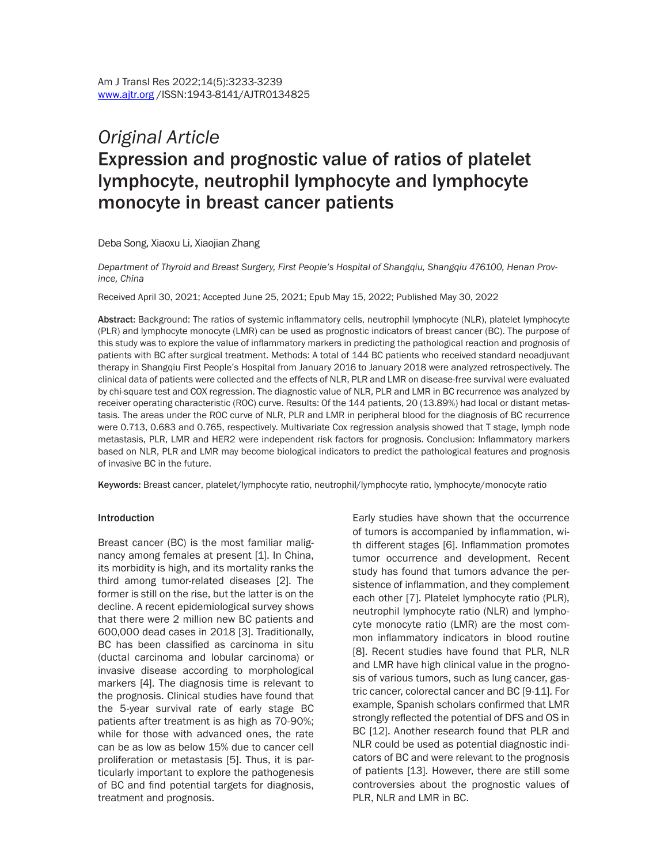# *Original Article* Expression and prognostic value of ratios of platelet lymphocyte, neutrophil lymphocyte and lymphocyte monocyte in breast cancer patients

Deba Song, Xiaoxu Li, Xiaojian Zhang

*Department of Thyroid and Breast Surgery, First People's Hospital of Shangqiu, Shangqiu 476100, Henan Province, China*

Received April 30, 2021; Accepted June 25, 2021; Epub May 15, 2022; Published May 30, 2022

Abstract: Background: The ratios of systemic inflammatory cells, neutrophil lymphocyte (NLR), platelet lymphocyte (PLR) and lymphocyte monocyte (LMR) can be used as prognostic indicators of breast cancer (BC). The purpose of this study was to explore the value of inflammatory markers in predicting the pathological reaction and prognosis of patients with BC after surgical treatment. Methods: A total of 144 BC patients who received standard neoadjuvant therapy in Shangqiu First People's Hospital from January 2016 to January 2018 were analyzed retrospectively. The clinical data of patients were collected and the effects of NLR, PLR and LMR on disease-free survival were evaluated by chi-square test and COX regression. The diagnostic value of NLR, PLR and LMR in BC recurrence was analyzed by receiver operating characteristic (ROC) curve. Results: Of the 144 patients, 20 (13.89%) had local or distant metastasis. The areas under the ROC curve of NLR, PLR and LMR in peripheral blood for the diagnosis of BC recurrence were 0.713, 0.683 and 0.765, respectively. Multivariate Cox regression analysis showed that T stage, lymph node metastasis, PLR, LMR and HER2 were independent risk factors for prognosis. Conclusion: Inflammatory markers based on NLR, PLR and LMR may become biological indicators to predict the pathological features and prognosis of invasive BC in the future.

Keywords: Breast cancer, platelet/lymphocyte ratio, neutrophil/lymphocyte ratio, lymphocyte/monocyte ratio

#### Introduction

Breast cancer (BC) is the most familiar malignancy among females at present [1]. In China, its morbidity is high, and its mortality ranks the third among tumor-related diseases [2]. The former is still on the rise, but the latter is on the decline. A recent epidemiological survey shows that there were 2 million new BC patients and 600,000 dead cases in 2018 [3]. Traditionally, BC has been classified as carcinoma in situ (ductal carcinoma and lobular carcinoma) or invasive disease according to morphological markers [4]. The diagnosis time is relevant to the prognosis. Clinical studies have found that the 5-year survival rate of early stage BC patients after treatment is as high as 70-90%; while for those with advanced ones, the rate can be as low as below 15% due to cancer cell proliferation or metastasis [5]. Thus, it is particularly important to explore the pathogenesis of BC and find potential targets for diagnosis, treatment and prognosis.

Early studies have shown that the occurrence of tumors is accompanied by inflammation, with different stages [6]. Inflammation promotes tumor occurrence and development. Recent study has found that tumors advance the persistence of inflammation, and they complement each other [7]. Platelet lymphocyte ratio (PLR), neutrophil lymphocyte ratio (NLR) and lymphocyte monocyte ratio (LMR) are the most common inflammatory indicators in blood routine [8]. Recent studies have found that PLR, NLR and LMR have high clinical value in the prognosis of various tumors, such as lung cancer, gastric cancer, colorectal cancer and BC [9-11]. For example, Spanish scholars confirmed that LMR strongly reflected the potential of DFS and OS in BC [12]. Another research found that PLR and NLR could be used as potential diagnostic indicators of BC and were relevant to the prognosis of patients [13]. However, there are still some controversies about the prognostic values of PLR, NLR and LMR in BC.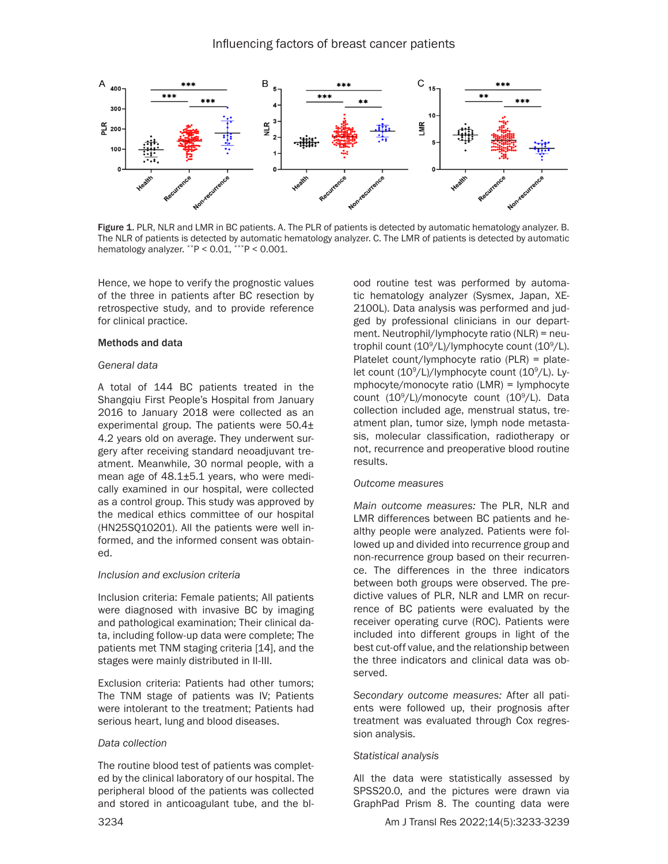

Figure 1. PLR, NLR and LMR in BC patients. A. The PLR of patients is detected by automatic hematology analyzer. B. The NLR of patients is detected by automatic hematology analyzer. C. The LMR of patients is detected by automatic hematology analyzer.  $*P < 0.01$ ,  $**P < 0.001$ .

Hence, we hope to verify the prognostic values of the three in patients after BC resection by retrospective study, and to provide reference for clinical practice.

### Methods and data

#### *General data*

A total of 144 BC patients treated in the Shangqiu First People's Hospital from January 2016 to January 2018 were collected as an experimental group. The patients were 50.4± 4.2 years old on average. They underwent surgery after receiving standard neoadjuvant treatment. Meanwhile, 30 normal people, with a mean age of 48.1±5.1 years, who were medically examined in our hospital, were collected as a control group. This study was approved by the medical ethics committee of our hospital (HN25SQ10201). All the patients were well informed, and the informed consent was obtained.

#### *Inclusion and exclusion criteria*

Inclusion criteria: Female patients; All patients were diagnosed with invasive BC by imaging and pathological examination; Their clinical data, including follow-up data were complete; The patients met TNM staging criteria [14], and the stages were mainly distributed in II-III.

Exclusion criteria: Patients had other tumors; The TNM stage of patients was IV; Patients were intolerant to the treatment; Patients had serious heart, lung and blood diseases.

#### *Data collection*

The routine blood test of patients was completed by the clinical laboratory of our hospital. The peripheral blood of the patients was collected and stored in anticoagulant tube, and the bl-

ood routine test was performed by automatic hematology analyzer (Sysmex, Japan, XE-2100L). Data analysis was performed and judged by professional clinicians in our department. Neutrophil/lymphocyte ratio (NLR) = neutrophil count (109 /L)/lymphocyte count (109 /L). Platelet count/lymphocyte ratio (PLR) = platelet count (10°/L)/lymphocyte count (10°/L). Lymphocyte/monocyte ratio (LMR) = lymphocyte count (109 /L)/monocyte count (109 /L). Data collection included age, menstrual status, treatment plan, tumor size, lymph node metastasis, molecular classification, radiotherapy or not, recurrence and preoperative blood routine results.

#### *Outcome measures*

*Main outcome measures:* The PLR, NLR and LMR differences between BC patients and healthy people were analyzed. Patients were followed up and divided into recurrence group and non-recurrence group based on their recurrence. The differences in the three indicators between both groups were observed. The predictive values of PLR, NLR and LMR on recurrence of BC patients were evaluated by the receiver operating curve (ROC). Patients were included into different groups in light of the best cut-off value, and the relationship between the three indicators and clinical data was observed.

*Secondary outcome measures:* After all patients were followed up, their prognosis after treatment was evaluated through Cox regression analysis.

### *Statistical analysis*

All the data were statistically assessed by SPSS20.0, and the pictures were drawn via GraphPad Prism 8. The counting data were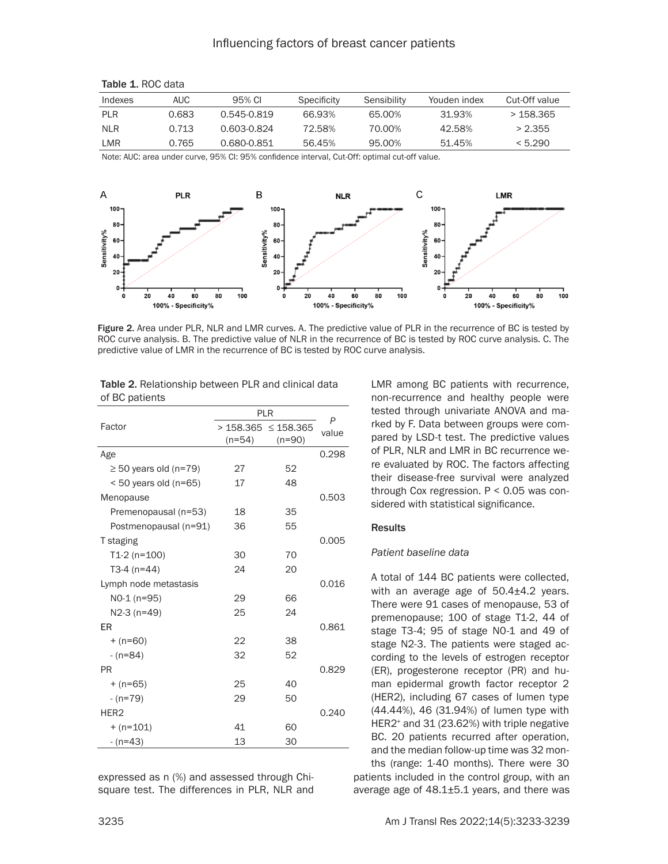## Influencing factors of breast cancer patients

| Indexes | AUC   | 95% CL      | Specificity | Sensibility | Youden index | Cut-Off value |
|---------|-------|-------------|-------------|-------------|--------------|---------------|
| PI R    | 0.683 | 0.545-0.819 | 66.93%      | 65.00%      | 31.93%       | >158.365      |
| NI R    | 0.713 | 0.603-0.824 | 72.58%      | 70.00%      | 42.58%       | > 2.355       |
| I MR    | 0.765 | 0.680-0.851 | 56.45%      | 95.00%      | 51.45%       | < 5.290       |

| Table 1. ROC data |  |  |  |
|-------------------|--|--|--|
|-------------------|--|--|--|

Note: AUC: area under curve, 95% CI: 95% confidence interval, Cut-Off: optimal cut-off value.



Figure 2. Area under PLR, NLR and LMR curves. A. The predictive value of PLR in the recurrence of BC is tested by ROC curve analysis. B. The predictive value of NLR in the recurrence of BC is tested by ROC curve analysis. C. The predictive value of LMR in the recurrence of BC is tested by ROC curve analysis.

| <b>Table 2.</b> Relationship between PLR and clinical data |  |
|------------------------------------------------------------|--|
| of BC patients                                             |  |

|                            | PLR      | P                          |       |
|----------------------------|----------|----------------------------|-------|
| Factor                     |          | $>$ 158.365 $\leq$ 158.365 | value |
|                            | $(n=54)$ | $(n=90)$                   |       |
| Age                        |          |                            | 0.298 |
| $\geq$ 50 years old (n=79) | 27       | 52                         |       |
| $< 50$ years old (n=65)    | 17       | 48                         |       |
| Menopause                  |          |                            | 0.503 |
| Premenopausal (n=53)       | 18       | 35                         |       |
| Postmenopausal (n=91)      | 36       | 55                         |       |
| T staging                  |          |                            | 0.005 |
| $T1-2(n=100)$              | 30       | 70                         |       |
| $T3-4(n=44)$               | 24       | 20                         |       |
| Lymph node metastasis      |          |                            | 0.016 |
| NO-1 (n=95)                | 29       | 66                         |       |
| N2-3 (n=49)                | 25       | 24                         |       |
| FR                         |          |                            | 0.861 |
| $+ (n=60)$                 | 22       | 38                         |       |
| $-(n=84)$                  | 32       | 52                         |       |
| <b>PR</b>                  |          |                            | 0.829 |
| $+ (n=65)$                 | 25       | 40                         |       |
| $-(n=79)$                  | 29       | 50                         |       |
| HER <sub>2</sub>           |          |                            | 0.240 |
| $+ (n=101)$                | 41       | 60                         |       |
| $-(n=43)$                  | 13       | 30                         |       |
|                            |          |                            |       |

expressed as n (%) and assessed through Chisquare test. The differences in PLR, NLR and LMR among BC patients with recurrence, non-recurrence and healthy people were tested through univariate ANOVA and marked by F. Data between groups were compared by LSD-t test. The predictive values of PLR, NLR and LMR in BC recurrence were evaluated by ROC. The factors affecting their disease-free survival were analyzed through Cox regression. P < 0.05 was considered with statistical significance.

### **Results**

#### *Patient baseline data*

A total of 144 BC patients were collected, with an average age of 50.4±4.2 years. There were 91 cases of menopause, 53 of premenopause; 100 of stage T1-2, 44 of stage T3-4; 95 of stage N0-1 and 49 of stage N2-3. The patients were staged according to the levels of estrogen receptor (ER), progesterone receptor (PR) and human epidermal growth factor receptor 2 (HER2), including 67 cases of lumen type (44.44%), 46 (31.94%) of lumen type with HER2<sup>+</sup> and 31 (23.62%) with triple negative BC. 20 patients recurred after operation, and the median follow-up time was 32 months (range: 1-40 months). There were 30 patients included in the control group, with an average age of 48.1±5.1 years, and there was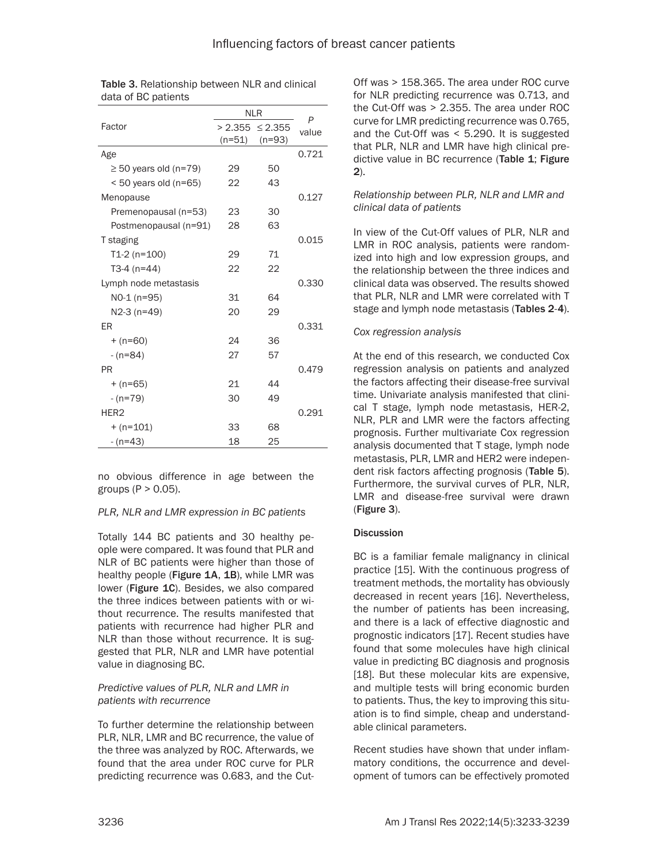|                            | <b>NLR</b> | P                   |       |
|----------------------------|------------|---------------------|-------|
| Factor                     |            | $> 2.355 \le 2.355$ | value |
|                            | $(n=51)$   | $(n=93)$            |       |
| Age                        |            |                     | 0.721 |
| $\geq$ 50 years old (n=79) | 29         | 50                  |       |
| $< 50$ years old (n=65)    | 22         | 43                  |       |
| Menopause                  |            |                     | 0.127 |
| Premenopausal (n=53)       | 23         | 30                  |       |
| Postmenopausal (n=91)      | 28         | 63                  |       |
| T staging                  |            |                     | 0.015 |
| $T1-2(n=100)$              | 29         | 71                  |       |
| T3-4 $(n=44)$              | 22         | 22                  |       |
| Lymph node metastasis      |            |                     | 0.330 |
| NO-1 (n=95)                | 31         | 64                  |       |
| N2-3 (n=49)                | 20         | 29                  |       |
| ER                         |            |                     | 0.331 |
| $+ (n=60)$                 | 24         | 36                  |       |
| $-(n=84)$                  | 27         | 57                  |       |
| PR                         |            |                     | 0.479 |
| $+ (n=65)$                 | 21         | 44                  |       |
| $-(n=79)$                  | 30         | 49                  |       |
| HER <sub>2</sub>           |            |                     | 0.291 |
| $+ (n=101)$                | 33         | 68                  |       |
| $-(n=43)$                  | 18         | 25                  |       |

| <b>Table 3. Relationship between NLR and clinical</b> |  |
|-------------------------------------------------------|--|
| data of BC patients                                   |  |

no obvious difference in age between the groups  $(P > 0.05)$ .

# *PLR, NLR and LMR expression in BC patients*

Totally 144 BC patients and 30 healthy people were compared. It was found that PLR and NLR of BC patients were higher than those of healthy people (Figure 1A, 1B), while LMR was lower (Figure 1C). Besides, we also compared the three indices between patients with or without recurrence. The results manifested that patients with recurrence had higher PLR and NLR than those without recurrence. It is suggested that PLR, NLR and LMR have potential value in diagnosing BC.

## *Predictive values of PLR, NLR and LMR in patients with recurrence*

To further determine the relationship between PLR, NLR, LMR and BC recurrence, the value of the three was analyzed by ROC. Afterwards, we found that the area under ROC curve for PLR predicting recurrence was 0.683, and the Cut-

Off was > 158.365. The area under ROC curve for NLR predicting recurrence was 0.713, and the Cut-Off was > 2.355. The area under ROC curve for LMR predicting recurrence was 0.765, and the Cut-Off was < 5.290. It is suggested that PLR, NLR and LMR have high clinical predictive value in BC recurrence (Table 1; Figure 2).

## *Relationship between PLR, NLR and LMR and clinical data of patients*

In view of the Cut-Off values of PLR, NLR and LMR in ROC analysis, patients were randomized into high and low expression groups, and the relationship between the three indices and clinical data was observed. The results showed that PLR, NLR and LMR were correlated with T stage and lymph node metastasis (Tables 2-4).

## *Cox regression analysis*

At the end of this research, we conducted Cox regression analysis on patients and analyzed the factors affecting their disease-free survival time. Univariate analysis manifested that clinical T stage, lymph node metastasis, HER-2, NLR, PLR and LMR were the factors affecting prognosis. Further multivariate Cox regression analysis documented that T stage, lymph node metastasis, PLR, LMR and HER2 were independent risk factors affecting prognosis (Table 5). Furthermore, the survival curves of PLR, NLR, LMR and disease-free survival were drawn (Figure 3).

# **Discussion**

BC is a familiar female malignancy in clinical practice [15]. With the continuous progress of treatment methods, the mortality has obviously decreased in recent years [16]. Nevertheless, the number of patients has been increasing, and there is a lack of effective diagnostic and prognostic indicators [17]. Recent studies have found that some molecules have high clinical value in predicting BC diagnosis and prognosis [18]. But these molecular kits are expensive, and multiple tests will bring economic burden to patients. Thus, the key to improving this situation is to find simple, cheap and understandable clinical parameters.

Recent studies have shown that under inflammatory conditions, the occurrence and development of tumors can be effectively promoted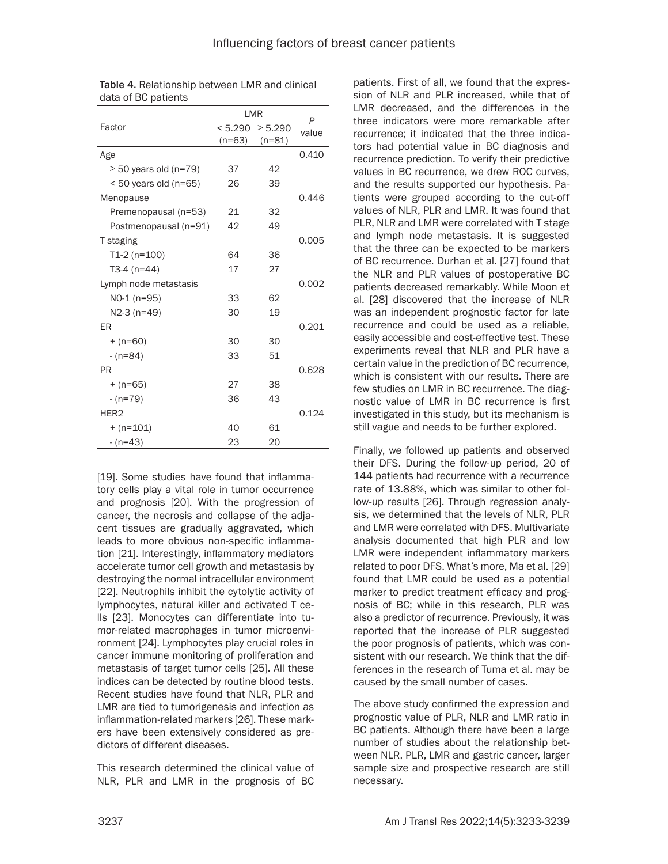|                            | LMR      | P                   |       |
|----------------------------|----------|---------------------|-------|
| Factor                     |          | $< 5.290 \ge 5.290$ | value |
|                            | $(n=63)$ | $(n=81)$            |       |
| Age                        |          |                     | 0.410 |
| $\geq$ 50 years old (n=79) | 37       | 42                  |       |
| $<$ 50 years old (n=65)    | 26       | 39                  |       |
| Menopause                  |          |                     | 0.446 |
| Premenopausal (n=53)       | 21       | 32                  |       |
| Postmenopausal (n=91)      | 42       | 49                  |       |
| T staging                  |          |                     | 0.005 |
| $T1-2$ (n=100)             | 64       | 36                  |       |
| T3-4 $(n=44)$              | 17       | 27                  |       |
| Lymph node metastasis      |          |                     | 0.002 |
| NO-1 (n=95)                | 33       | 62                  |       |
| N2-3 (n=49)                | 30       | 19                  |       |
| FR                         |          |                     | 0.201 |
| $+ (n=60)$                 | 30       | 30                  |       |
| $-(n=84)$                  | 33       | 51                  |       |
| <b>PR</b>                  |          |                     | 0.628 |
| $+ (n=65)$                 | 27       | 38                  |       |
| $-(n=79)$                  | 36       | 43                  |       |
| HER <sub>2</sub>           |          |                     | 0.124 |
| $+ (n=101)$                | 40       | 61                  |       |
| $-(n=43)$                  | 23       | 20                  |       |

| <b>Table 4. Relationship between LMR and clinical</b> |
|-------------------------------------------------------|
| data of BC patients                                   |

[19]. Some studies have found that inflammatory cells play a vital role in tumor occurrence and prognosis [20]. With the progression of cancer, the necrosis and collapse of the adjacent tissues are gradually aggravated, which leads to more obvious non-specific inflammation [21]. Interestingly, inflammatory mediators accelerate tumor cell growth and metastasis by destroying the normal intracellular environment [22]. Neutrophils inhibit the cytolytic activity of lymphocytes, natural killer and activated T cells [23]. Monocytes can differentiate into tumor-related macrophages in tumor microenvironment [24]. Lymphocytes play crucial roles in cancer immune monitoring of proliferation and metastasis of target tumor cells [25]. All these indices can be detected by routine blood tests. Recent studies have found that NLR, PLR and LMR are tied to tumorigenesis and infection as inflammation-related markers [26]. These markers have been extensively considered as predictors of different diseases.

This research determined the clinical value of NLR, PLR and LMR in the prognosis of BC

patients. First of all, we found that the expression of NLR and PLR increased, while that of LMR decreased, and the differences in the three indicators were more remarkable after recurrence; it indicated that the three indicators had potential value in BC diagnosis and recurrence prediction. To verify their predictive values in BC recurrence, we drew ROC curves, and the results supported our hypothesis. Patients were grouped according to the cut-off values of NLR, PLR and LMR. It was found that PLR, NLR and LMR were correlated with T stage and lymph node metastasis. It is suggested that the three can be expected to be markers of BC recurrence. Durhan et al. [27] found that the NLR and PLR values of postoperative BC patients decreased remarkably. While Moon et al. [28] discovered that the increase of NLR was an independent prognostic factor for late recurrence and could be used as a reliable, easily accessible and cost-effective test. These experiments reveal that NLR and PLR have a certain value in the prediction of BC recurrence, which is consistent with our results. There are few studies on LMR in BC recurrence. The diagnostic value of LMR in BC recurrence is first investigated in this study, but its mechanism is still vague and needs to be further explored.

Finally, we followed up patients and observed their DFS. During the follow-up period, 20 of 144 patients had recurrence with a recurrence rate of 13.88%, which was similar to other follow-up results [26]. Through regression analysis, we determined that the levels of NLR, PLR and LMR were correlated with DFS. Multivariate analysis documented that high PLR and low LMR were independent inflammatory markers related to poor DFS. What's more, Ma et al. [29] found that LMR could be used as a potential marker to predict treatment efficacy and prognosis of BC; while in this research, PLR was also a predictor of recurrence. Previously, it was reported that the increase of PLR suggested the poor prognosis of patients, which was consistent with our research. We think that the differences in the research of Tuma et al. may be caused by the small number of cases.

The above study confirmed the expression and prognostic value of PLR, NLR and LMR ratio in BC patients. Although there have been a large number of studies about the relationship between NLR, PLR, LMR and gastric cancer, larger sample size and prospective research are still necessary.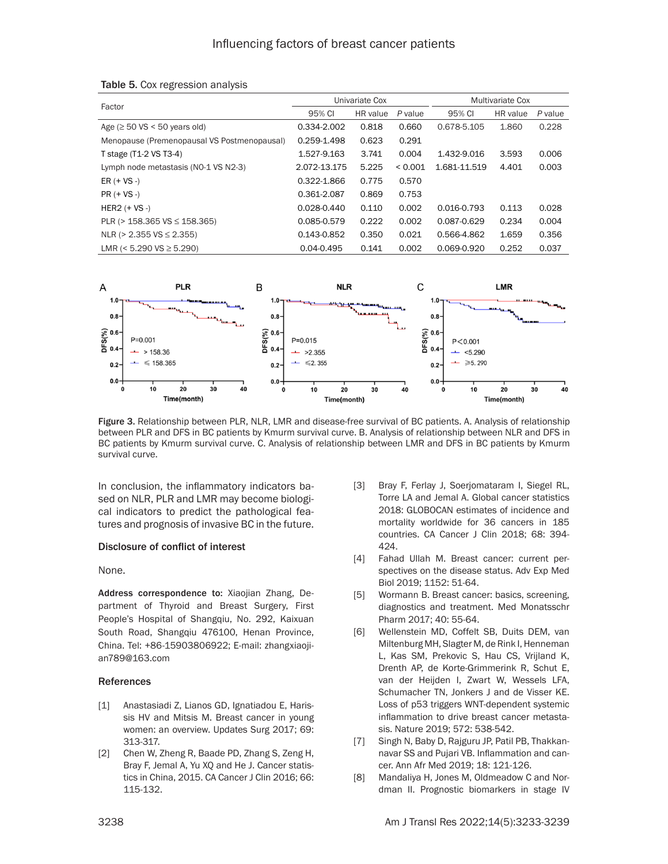|                                             | Univariate Cox |          |         | Multivariate Cox |          |         |
|---------------------------------------------|----------------|----------|---------|------------------|----------|---------|
| Factor                                      | 95% CI         | HR value | P value | 95% CI           | HR value | P value |
| Age ( $\geq$ 50 VS < 50 years old)          | 0.334-2.002    | 0.818    | 0.660   | 0.678-5.105      | 1.860    | 0.228   |
| Menopause (Premenopausal VS Postmenopausal) | 0.259-1.498    | 0.623    | 0.291   |                  |          |         |
| T stage (T1-2 VS T3-4)                      | 1.527-9.163    | 3.741    | 0.004   | 1.432-9.016      | 3.593    | 0.006   |
| Lymph node metastasis (NO-1 VS N2-3)        | 2.072-13.175   | 5.225    | < 0.001 | 1.681-11.519     | 4.401    | 0.003   |
| ER $(+$ VS $-)$                             | 0.322-1.866    | 0.775    | 0.570   |                  |          |         |
| $PR (+ VS -)$                               | 0.361-2.087    | 0.869    | 0.753   |                  |          |         |
| $HER2 (+ VS -)$                             | 0.028-0.440    | 0.110    | 0.002   | 0.016-0.793      | 0.113    | 0.028   |
| PLR ( $>$ 158.365 VS $\leq$ 158.365)        | 0.085-0.579    | 0.222    | 0.002   | 0.087-0.629      | 0.234    | 0.004   |
| NLR ( $> 2.355$ VS $\leq$ 2.355)            | 0.143-0.852    | 0.350    | 0.021   | 0.566-4.862      | 1.659    | 0.356   |
| LMR (< $5.290$ VS $\geq 5.290$ )            | $0.04 - 0.495$ | 0.141    | 0.002   | 0.069-0.920      | 0.252    | 0.037   |

#### Table 5. Cox regression analysis



Figure 3. Relationship between PLR, NLR, LMR and disease-free survival of BC patients. A. Analysis of relationship between PLR and DFS in BC patients by Kmurm survival curve. B. Analysis of relationship between NLR and DFS in BC patients by Kmurm survival curve. C. Analysis of relationship between LMR and DFS in BC patients by Kmurm survival curve.

In conclusion, the inflammatory indicators based on NLR, PLR and LMR may become biological indicators to predict the pathological features and prognosis of invasive BC in the future.

#### Disclosure of conflict of interest

None.

Address correspondence to: Xiaojian Zhang, Department of Thyroid and Breast Surgery, First People's Hospital of Shangqiu, No. 292, Kaixuan South Road, Shangqiu 476100, Henan Province, China. Tel: +86-15903806922; E-mail: [zhangxiaoji](mailto:zhangxiaojian789@163.com
)[an789@163.com](mailto:zhangxiaojian789@163.com
)

#### References

- [1] Anastasiadi Z, Lianos GD, Ignatiadou E, Harissis HV and Mitsis M. Breast cancer in young women: an overview. Updates Surg 2017; 69: 313-317.
- [2] Chen W, Zheng R, Baade PD, Zhang S, Zeng H, Bray F, Jemal A, Yu XQ and He J. Cancer statistics in China, 2015. CA Cancer J Clin 2016; 66: 115-132.
- [3] Bray F, Ferlay J, Soerjomataram I, Siegel RL, Torre LA and Jemal A. Global cancer statistics 2018: GLOBOCAN estimates of incidence and mortality worldwide for 36 cancers in 185 countries. CA Cancer J Clin 2018; 68: 394- 424.
- [4] Fahad Ullah M. Breast cancer: current perspectives on the disease status. Adv Exp Med Biol 2019; 1152: 51-64.
- [5] Wormann B. Breast cancer: basics, screening, diagnostics and treatment. Med Monatsschr Pharm 2017; 40: 55-64.
- [6] Wellenstein MD, Coffelt SB, Duits DEM, van Miltenburg MH, Slagter M, de Rink I, Henneman L, Kas SM, Prekovic S, Hau CS, Vrijland K, Drenth AP, de Korte-Grimmerink R, Schut E, van der Heijden I, Zwart W, Wessels LFA, Schumacher TN, Jonkers J and de Visser KE. Loss of p53 triggers WNT-dependent systemic inflammation to drive breast cancer metastasis. Nature 2019; 572: 538-542.
- [7] Singh N, Baby D, Rajguru JP, Patil PB, Thakkannavar SS and Pujari VB. Inflammation and cancer. Ann Afr Med 2019; 18: 121-126.
- [8] Mandaliya H, Jones M, Oldmeadow C and Nordman II. Prognostic biomarkers in stage IV